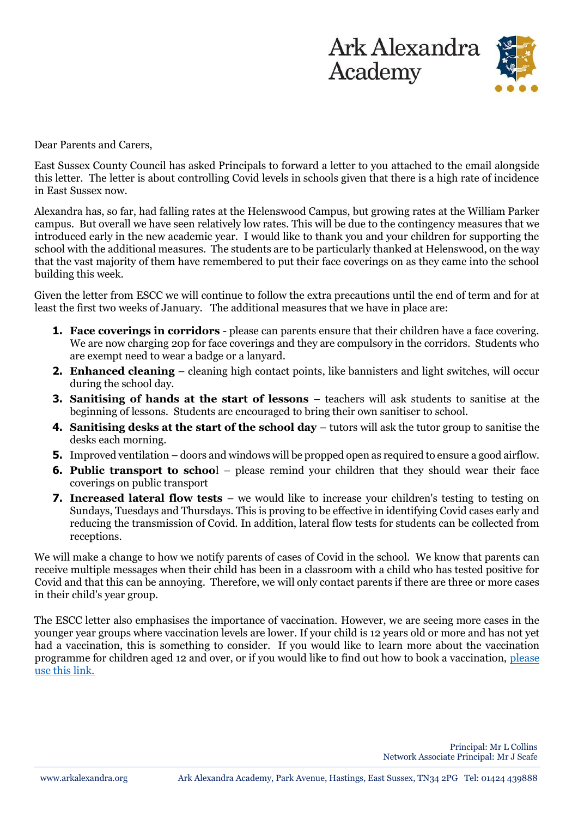



Dear Parents and Carers,

East Sussex County Council has asked Principals to forward a letter to you attached to the email alongside this letter. The letter is about controlling Covid levels in schools given that there is a high rate of incidence in East Sussex now.

Alexandra has, so far, had falling rates at the Helenswood Campus, but growing rates at the William Parker campus. But overall we have seen relatively low rates. This will be due to the contingency measures that we introduced early in the new academic year. I would like to thank you and your children for supporting the school with the additional measures. The students are to be particularly thanked at Helenswood, on the way that the vast majority of them have remembered to put their face coverings on as they came into the school building this week.

Given the letter from ESCC we will continue to follow the extra precautions until the end of term and for at least the first two weeks of January. The additional measures that we have in place are:

- **1. Face coverings in corridors** please can parents ensure that their children have a face covering. We are now charging 20p for face coverings and they are compulsory in the corridors. Students who are exempt need to wear a badge or a lanyard.
- **2. Enhanced cleaning**  cleaning high contact points, like bannisters and light switches, will occur during the school day.
- **3. Sanitising of hands at the start of lessons** teachers will ask students to sanitise at the beginning of lessons. Students are encouraged to bring their own sanitiser to school.
- **4. Sanitising desks at the start of the school day** tutors will ask the tutor group to sanitise the desks each morning.
- **5.** Improved ventilation doors and windows will be propped open as required to ensure a good airflow.
- **6.** Public transport to school please remind your children that they should wear their face coverings on public transport
- **7. Increased lateral flow tests** we would like to increase your children's testing to testing on Sundays, Tuesdays and Thursdays. This is proving to be effective in identifying Covid cases early and reducing the transmission of Covid. In addition, lateral flow tests for students can be collected from receptions.

We will make a change to how we notify parents of cases of Covid in the school. We know that parents can receive multiple messages when their child has been in a classroom with a child who has tested positive for Covid and that this can be annoying. Therefore, we will only contact parents if there are three or more cases in their child's year group.

The ESCC letter also emphasises the importance of vaccination. However, we are seeing more cases in the younger year groups where vaccination levels are lower. If your child is 12 years old or more and has not yet had a vaccination, this is something to consider. If you would like to learn more about the vaccination programme for children aged 12 and over, or if you would like to find out how to book a vaccination, [please](https://www.nhs.uk/conditions/coronavirus-covid-19/coronavirus-vaccination/who-can-get-the-vaccine/?gclid=EAIaIQobChMIzcWitvq19AIVQ-d3Ch3cRAPWEAAYASAAEgJtefD_BwE)  [use this link.](https://www.nhs.uk/conditions/coronavirus-covid-19/coronavirus-vaccination/who-can-get-the-vaccine/?gclid=EAIaIQobChMIzcWitvq19AIVQ-d3Ch3cRAPWEAAYASAAEgJtefD_BwE)